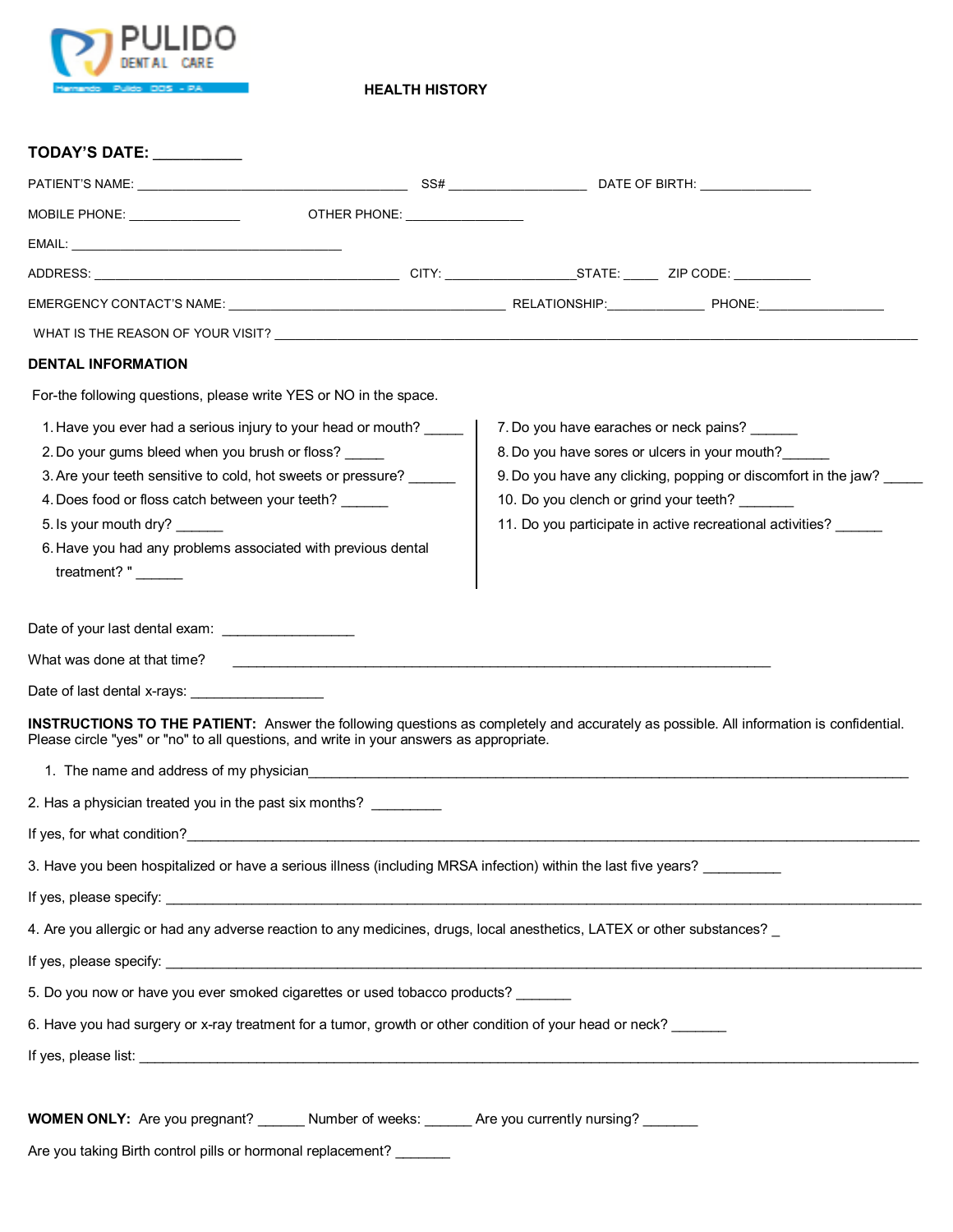

**HEALTH HISTORY**

| <b>TODAY'S DATE:</b>                                                                                                                                                                                                                                                                                                                                    |                                        |                                                                                                                                                                                                                               |
|---------------------------------------------------------------------------------------------------------------------------------------------------------------------------------------------------------------------------------------------------------------------------------------------------------------------------------------------------------|----------------------------------------|-------------------------------------------------------------------------------------------------------------------------------------------------------------------------------------------------------------------------------|
|                                                                                                                                                                                                                                                                                                                                                         |                                        |                                                                                                                                                                                                                               |
|                                                                                                                                                                                                                                                                                                                                                         |                                        |                                                                                                                                                                                                                               |
|                                                                                                                                                                                                                                                                                                                                                         |                                        |                                                                                                                                                                                                                               |
|                                                                                                                                                                                                                                                                                                                                                         |                                        |                                                                                                                                                                                                                               |
|                                                                                                                                                                                                                                                                                                                                                         |                                        |                                                                                                                                                                                                                               |
|                                                                                                                                                                                                                                                                                                                                                         |                                        |                                                                                                                                                                                                                               |
| <b>DENTAL INFORMATION</b>                                                                                                                                                                                                                                                                                                                               |                                        |                                                                                                                                                                                                                               |
| For-the following questions, please write YES or NO in the space.                                                                                                                                                                                                                                                                                       |                                        |                                                                                                                                                                                                                               |
| 1. Have you ever had a serious injury to your head or mouth?<br>2. Do your gums bleed when you brush or floss?<br>3. Are your teeth sensitive to cold, hot sweets or pressure? ______<br>4. Does food or floss catch between your teeth?<br>5. Is your mouth dry?<br>6. Have you had any problems associated with previous dental<br>treatment?" ______ | 10. Do you clench or grind your teeth? | 7. Do you have earaches or neck pains? ______<br>8. Do you have sores or ulcers in your mouth?<br>9. Do you have any clicking, popping or discomfort in the jaw?<br>11. Do you participate in active recreational activities? |
| What was done at that time?<br><u> 1980 - Jan Alexandri, fizikar matematika (h. 1980).</u>                                                                                                                                                                                                                                                              |                                        |                                                                                                                                                                                                                               |
| Date of last dental x-rays: <u>_________________</u>                                                                                                                                                                                                                                                                                                    |                                        |                                                                                                                                                                                                                               |
| <b>INSTRUCTIONS TO THE PATIENT:</b> Answer the following questions as completely and accurately as possible. All information is confidential.<br>Please circle "yes" or "no" to all questions, and write in your answers as appropriate.                                                                                                                |                                        |                                                                                                                                                                                                                               |
| 1. The name and address of my physician                                                                                                                                                                                                                                                                                                                 |                                        |                                                                                                                                                                                                                               |
| 2. Has a physician treated you in the past six months?                                                                                                                                                                                                                                                                                                  |                                        |                                                                                                                                                                                                                               |
| If yes, for what condition?                                                                                                                                                                                                                                                                                                                             |                                        |                                                                                                                                                                                                                               |
| 3. Have you been hospitalized or have a serious illness (including MRSA infection) within the last five years?                                                                                                                                                                                                                                          |                                        |                                                                                                                                                                                                                               |
|                                                                                                                                                                                                                                                                                                                                                         |                                        |                                                                                                                                                                                                                               |
| 4. Are you allergic or had any adverse reaction to any medicines, drugs, local anesthetics, LATEX or other substances? _                                                                                                                                                                                                                                |                                        |                                                                                                                                                                                                                               |
|                                                                                                                                                                                                                                                                                                                                                         |                                        |                                                                                                                                                                                                                               |
| 5. Do you now or have you ever smoked cigarettes or used tobacco products?                                                                                                                                                                                                                                                                              |                                        |                                                                                                                                                                                                                               |
| 6. Have you had surgery or x-ray treatment for a tumor, growth or other condition of your head or neck?                                                                                                                                                                                                                                                 |                                        |                                                                                                                                                                                                                               |
|                                                                                                                                                                                                                                                                                                                                                         |                                        |                                                                                                                                                                                                                               |
| <b>WOMEN ONLY:</b> Are you pregnant? ________ Number of weeks: _______ Are you currently nursing? _______<br>Are you taking Birth control pills or hormonal replacement?                                                                                                                                                                                |                                        |                                                                                                                                                                                                                               |